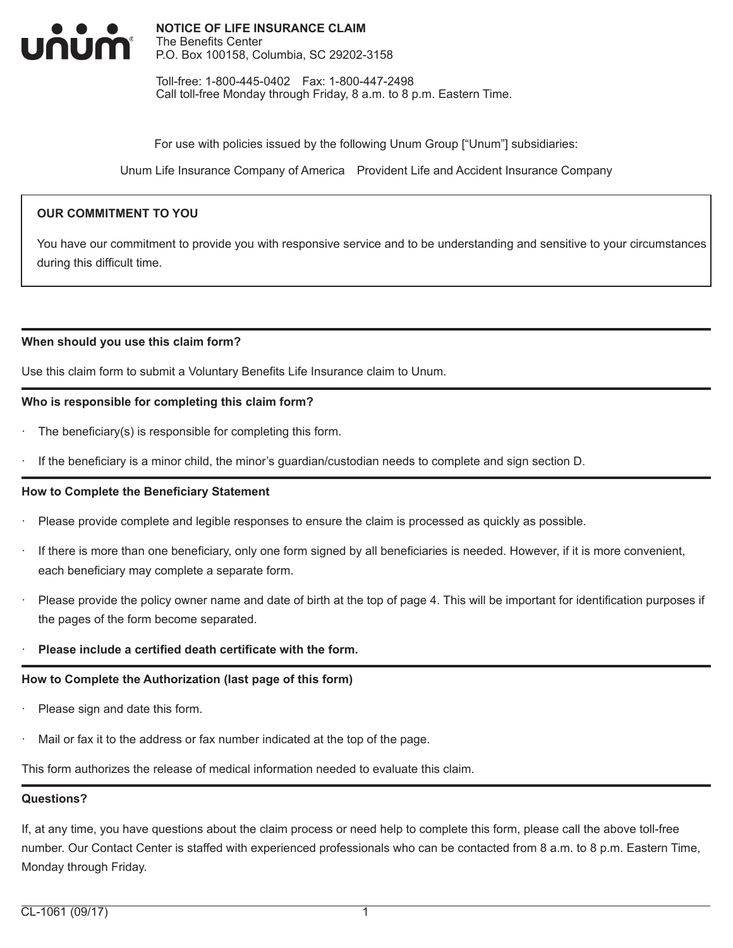

Toll-free: 1-800-445-0402 Fax: 1-800-447-2498 Call toll-free Monday through Friday, 8 a.m. to 8 p.m. Eastern Time.

For use with policies issued by the following Unum Group ["Unum"] subsidiaries:

Unum Life Insurance Company of America Provident Life and Accident Insurance Company

### **OUR COMMITMENT TO YOU**

You have our commitment to provide you with responsive service and to be understanding and sensitive to your circumstances during this difficult time.

#### **When should you use this claim form?**

Use this claim form to submit a Voluntary Benefits Life Insurance claim to Unum.

#### **Who is responsible for completing this claim form?**

- The beneficiary(s) is responsible for completing this form.
- If the beneficiary is a minor child, the minor's guardian/custodian needs to complete and sign section D.

#### **How to Complete the Beneficiary Statement**

- · Please provide complete and legible responses to ensure the claim is processed as quickly as possible.
- If there is more than one beneficiary, only one form signed by all beneficiaries is needed. However, if it is more convenient, each beneficiary may complete a separate form.
- Please provide the policy owner name and date of birth at the top of page 4. This will be important for identification purposes if the pages of the form become separated.

#### · **Please include a certified death certificate with the form.**

#### **How to Complete the Authorization (last page of this form)**

- Please sign and date this form.
- Mail or fax it to the address or fax number indicated at the top of the page.

This form authorizes the release of medical information needed to evaluate this claim.

#### **Questions?**

If, at any time, you have questions about the claim process or need help to complete this form, please call the above toll-free number. Our Contact Center is staffed with experienced professionals who can be contacted from 8 a.m. to 8 p.m. Eastern Time, Monday through Friday.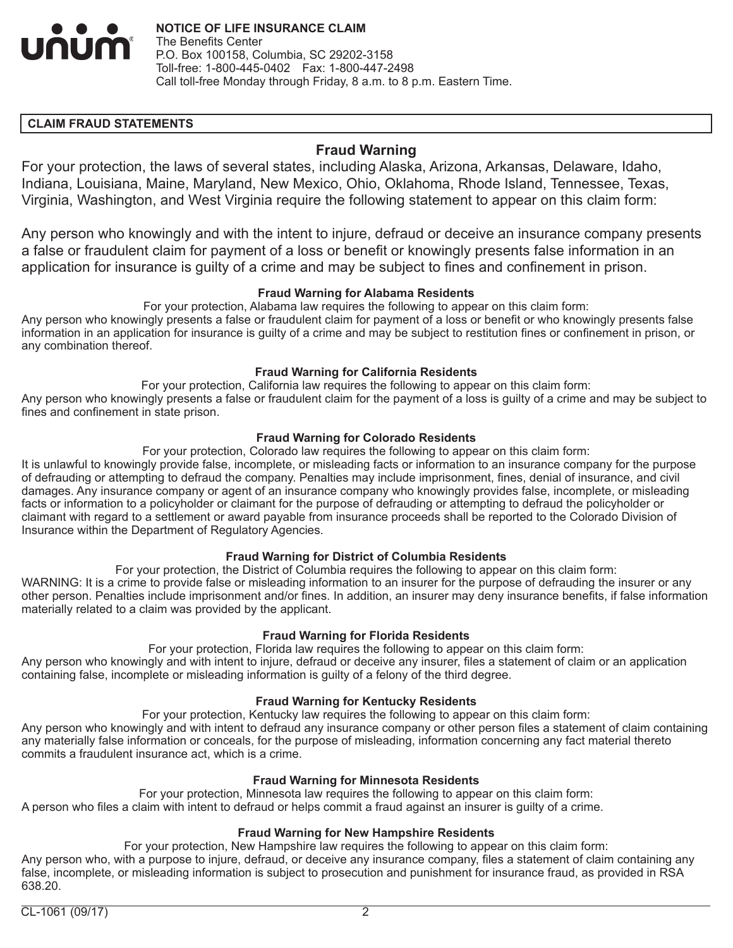

### **CLAIM FRAUD STATEMENTS**

# **Fraud Warning**

For your protection, the laws of several states, including Alaska, Arizona, Arkansas, Delaware, Idaho, Indiana, Louisiana, Maine, Maryland, New Mexico, Ohio, Oklahoma, Rhode Island, Tennessee, Texas, Virginia, Washington, and West Virginia require the following statement to appear on this claim form:

Any person who knowingly and with the intent to injure, defraud or deceive an insurance company presents a false or fraudulent claim for payment of a loss or benefit or knowingly presents false information in an application for insurance is guilty of a crime and may be subject to fines and confinement in prison.

#### **Fraud Warning for Alabama Residents**

For your protection, Alabama law requires the following to appear on this claim form:

Any person who knowingly presents a false or fraudulent claim for payment of a loss or benefit or who knowingly presents false information in an application for insurance is guilty of a crime and may be subject to restitution fines or confinement in prison, or any combination thereof.

#### **Fraud Warning for California Residents**

For your protection, California law requires the following to appear on this claim form: Any person who knowingly presents a false or fraudulent claim for the payment of a loss is guilty of a crime and may be subject to fines and confinement in state prison.

### **Fraud Warning for Colorado Residents**

For your protection, Colorado law requires the following to appear on this claim form:

It is unlawful to knowingly provide false, incomplete, or misleading facts or information to an insurance company for the purpose of defrauding or attempting to defraud the company. Penalties may include imprisonment, fines, denial of insurance, and civil damages. Any insurance company or agent of an insurance company who knowingly provides false, incomplete, or misleading facts or information to a policyholder or claimant for the purpose of defrauding or attempting to defraud the policyholder or claimant with regard to a settlement or award payable from insurance proceeds shall be reported to the Colorado Division of Insurance within the Department of Regulatory Agencies.

#### **Fraud Warning for District of Columbia Residents**

For your protection, the District of Columbia requires the following to appear on this claim form: WARNING: It is a crime to provide false or misleading information to an insurer for the purpose of defrauding the insurer or any other person. Penalties include imprisonment and/or fines. In addition, an insurer may deny insurance benefits, if false information materially related to a claim was provided by the applicant.

#### **Fraud Warning for Florida Residents**

For your protection, Florida law requires the following to appear on this claim form: Any person who knowingly and with intent to injure, defraud or deceive any insurer, files a statement of claim or an application containing false, incomplete or misleading information is guilty of a felony of the third degree.

#### **Fraud Warning for Kentucky Residents**

For your protection, Kentucky law requires the following to appear on this claim form:

Any person who knowingly and with intent to defraud any insurance company or other person files a statement of claim containing any materially false information or conceals, for the purpose of misleading, information concerning any fact material thereto commits a fraudulent insurance act, which is a crime.

#### **Fraud Warning for Minnesota Residents**

For your protection, Minnesota law requires the following to appear on this claim form: A person who files a claim with intent to defraud or helps commit a fraud against an insurer is guilty of a crime.

#### **Fraud Warning for New Hampshire Residents**

For your protection, New Hampshire law requires the following to appear on this claim form: Any person who, with a purpose to injure, defraud, or deceive any insurance company, files a statement of claim containing any false, incomplete, or misleading information is subject to prosecution and punishment for insurance fraud, as provided in RSA 638.20.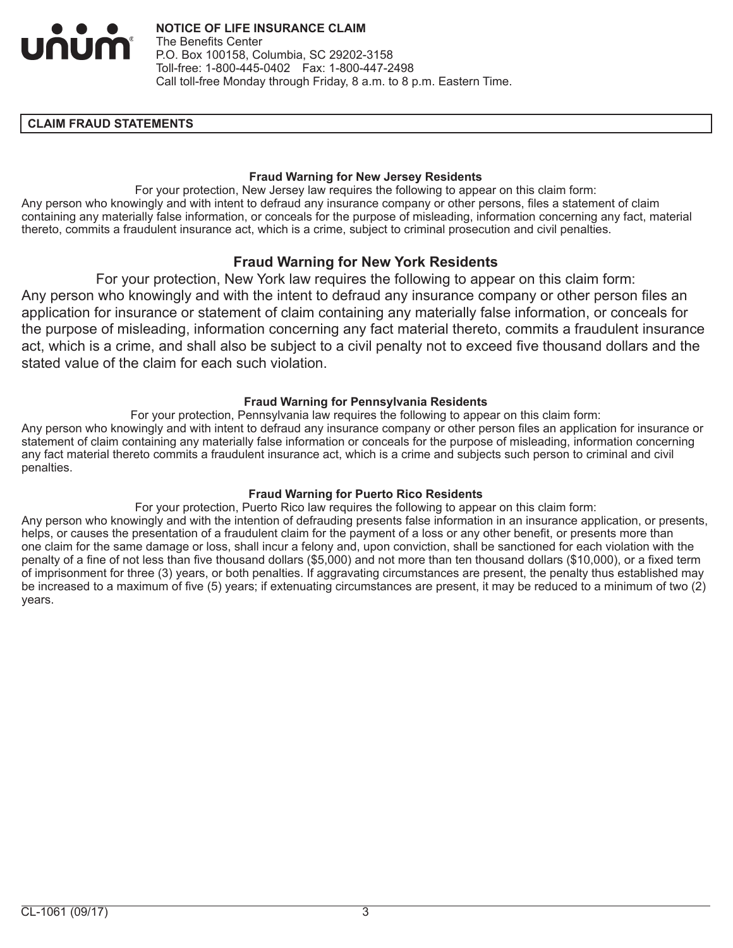

#### **CLAIM FRAUD STATEMENTS**

#### **Fraud Warning for New Jersey Residents**

For your protection, New Jersey law requires the following to appear on this claim form: Any person who knowingly and with intent to defraud any insurance company or other persons, files a statement of claim containing any materially false information, or conceals for the purpose of misleading, information concerning any fact, material thereto, commits a fraudulent insurance act, which is a crime, subject to criminal prosecution and civil penalties.

## **Fraud Warning for New York Residents**

For your protection, New York law requires the following to appear on this claim form: Any person who knowingly and with the intent to defraud any insurance company or other person files an application for insurance or statement of claim containing any materially false information, or conceals for the purpose of misleading, information concerning any fact material thereto, commits a fraudulent insurance act, which is a crime, and shall also be subject to a civil penalty not to exceed five thousand dollars and the stated value of the claim for each such violation.

#### **Fraud Warning for Pennsylvania Residents**

For your protection, Pennsylvania law requires the following to appear on this claim form: Any person who knowingly and with intent to defraud any insurance company or other person files an application for insurance or statement of claim containing any materially false information or conceals for the purpose of misleading, information concerning any fact material thereto commits a fraudulent insurance act, which is a crime and subjects such person to criminal and civil penalties.

## **Fraud Warning for Puerto Rico Residents**

For your protection, Puerto Rico law requires the following to appear on this claim form: Any person who knowingly and with the intention of defrauding presents false information in an insurance application, or presents, helps, or causes the presentation of a fraudulent claim for the payment of a loss or any other benefit, or presents more than one claim for the same damage or loss, shall incur a felony and, upon conviction, shall be sanctioned for each violation with the penalty of a fine of not less than five thousand dollars (\$5,000) and not more than ten thousand dollars (\$10,000), or a fixed term of imprisonment for three (3) years, or both penalties. If aggravating circumstances are present, the penalty thus established may be increased to a maximum of five (5) years; if extenuating circumstances are present, it may be reduced to a minimum of two (2) years.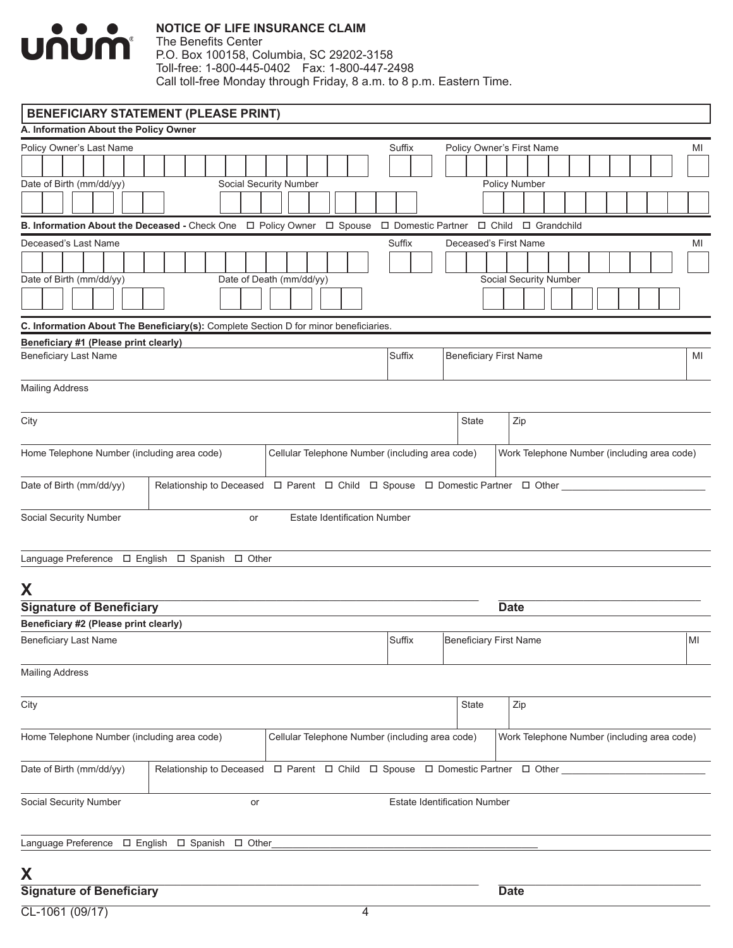

| <b>BENEFICIARY STATEMENT (PLEASE PRINT)</b>                                                                                            |                                                                                                        |                                                 |        |                                     |                                             |    |    |
|----------------------------------------------------------------------------------------------------------------------------------------|--------------------------------------------------------------------------------------------------------|-------------------------------------------------|--------|-------------------------------------|---------------------------------------------|----|----|
| A. Information About the Policy Owner                                                                                                  |                                                                                                        |                                                 |        |                                     |                                             |    |    |
| Policy Owner's Last Name                                                                                                               |                                                                                                        |                                                 | Suffix |                                     | Policy Owner's First Name                   |    | MI |
|                                                                                                                                        |                                                                                                        |                                                 |        |                                     |                                             |    |    |
| Date of Birth (mm/dd/yy)                                                                                                               |                                                                                                        | Social Security Number                          |        |                                     | Policy Number                               |    |    |
|                                                                                                                                        |                                                                                                        |                                                 |        |                                     |                                             |    |    |
| B. Information About the Deceased - Check One $\Box$ Policy Owner $\Box$ Spouse $\Box$ Domestic Partner $\Box$ Child $\Box$ Grandchild |                                                                                                        |                                                 |        |                                     |                                             |    |    |
| Deceased's Last Name                                                                                                                   |                                                                                                        |                                                 | Suffix |                                     | Deceased's First Name                       |    |    |
|                                                                                                                                        |                                                                                                        |                                                 |        |                                     |                                             |    | MI |
|                                                                                                                                        |                                                                                                        |                                                 |        |                                     |                                             |    |    |
| Date of Birth (mm/dd/yy)                                                                                                               |                                                                                                        | Date of Death (mm/dd/yy)                        |        |                                     | Social Security Number                      |    |    |
|                                                                                                                                        |                                                                                                        |                                                 |        |                                     |                                             |    |    |
| C. Information About The Beneficiary(s): Complete Section D for minor beneficiaries.                                                   |                                                                                                        |                                                 |        |                                     |                                             |    |    |
| Beneficiary #1 (Please print clearly)                                                                                                  |                                                                                                        |                                                 |        |                                     |                                             |    |    |
| <b>Beneficiary Last Name</b>                                                                                                           |                                                                                                        |                                                 | Suffix | <b>Beneficiary First Name</b>       |                                             |    | MI |
| <b>Mailing Address</b>                                                                                                                 |                                                                                                        |                                                 |        |                                     |                                             |    |    |
| City                                                                                                                                   |                                                                                                        |                                                 |        | <b>State</b>                        | Zip                                         |    |    |
|                                                                                                                                        |                                                                                                        |                                                 |        |                                     |                                             |    |    |
| Home Telephone Number (including area code)                                                                                            |                                                                                                        | Cellular Telephone Number (including area code) |        |                                     | Work Telephone Number (including area code) |    |    |
| Date of Birth (mm/dd/yy)                                                                                                               | Relationship to Deceased  □ Parent  □ Child □ Spouse □ Domestic Partner □ Other                        |                                                 |        |                                     |                                             |    |    |
| Social Security Number                                                                                                                 | or                                                                                                     | <b>Estate Identification Number</b>             |        |                                     |                                             |    |    |
| Language Preference □ English □ Spanish □ Other                                                                                        |                                                                                                        |                                                 |        |                                     |                                             |    |    |
| X                                                                                                                                      |                                                                                                        |                                                 |        |                                     |                                             |    |    |
| <b>Signature of Beneficiary</b>                                                                                                        |                                                                                                        |                                                 |        |                                     | <b>Date</b>                                 |    |    |
| Beneficiary #2 (Please print clearly)                                                                                                  |                                                                                                        |                                                 |        |                                     |                                             |    |    |
| <b>Beneficiary Last Name</b>                                                                                                           |                                                                                                        |                                                 | Suffix | <b>Beneficiary First Name</b>       |                                             | MI |    |
| <b>Mailing Address</b>                                                                                                                 |                                                                                                        |                                                 |        |                                     |                                             |    |    |
| City                                                                                                                                   |                                                                                                        |                                                 |        | State                               | Zip                                         |    |    |
| Home Telephone Number (including area code)                                                                                            |                                                                                                        | Cellular Telephone Number (including area code) |        |                                     | Work Telephone Number (including area code) |    |    |
| Date of Birth (mm/dd/yy)                                                                                                               | Relationship to Deceased $\Box$ Parent $\Box$ Child $\Box$ Spouse $\Box$ Domestic Partner $\Box$ Other |                                                 |        |                                     |                                             |    |    |
| Social Security Number                                                                                                                 | or                                                                                                     |                                                 |        | <b>Estate Identification Number</b> |                                             |    |    |
|                                                                                                                                        |                                                                                                        |                                                 |        |                                     |                                             |    |    |
| Language Preference $\Box$ English $\Box$ Spanish $\Box$ Other_                                                                        |                                                                                                        |                                                 |        |                                     |                                             |    |    |
| X                                                                                                                                      |                                                                                                        |                                                 |        |                                     |                                             |    |    |
| <b>Signature of Beneficiary</b>                                                                                                        |                                                                                                        |                                                 |        |                                     | <b>Date</b>                                 |    |    |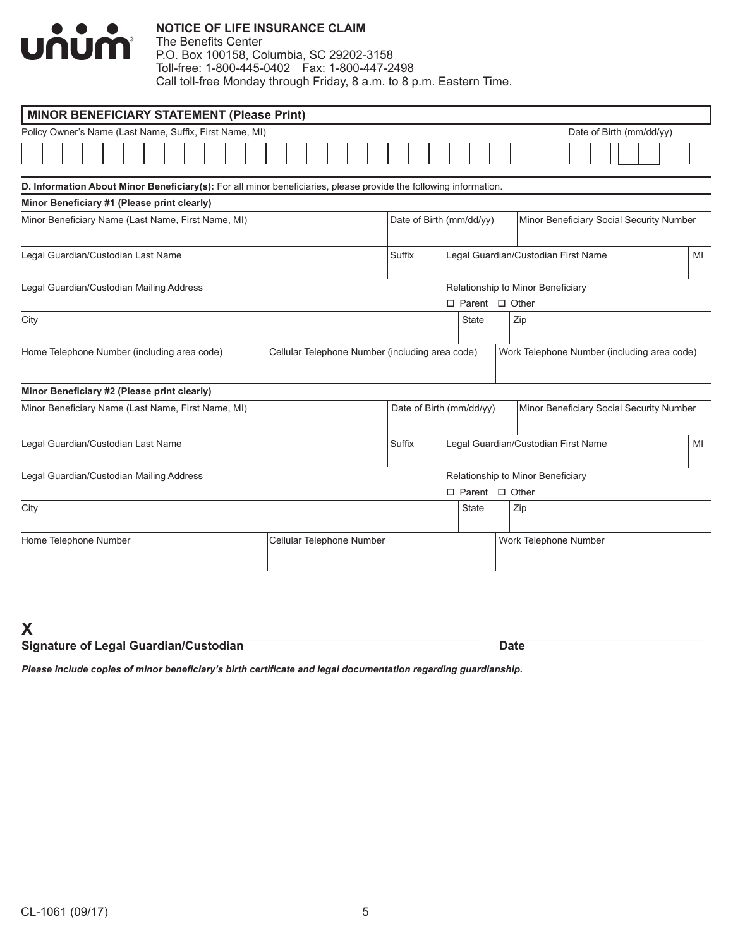

## **NOTICE OF LIFE INSURANCE CLAIM**

The Benefits Center P.O. Box 100158, Columbia, SC 29202-3158 Toll-free: 1-800-445-0402 Fax: 1-800-447-2498 Call toll-free Monday through Friday, 8 a.m. to 8 p.m. Eastern Time.

| <b>MINOR BENEFICIARY STATEMENT (Please Print)</b>                                                                 |  |  |  |  |  |  |                       |                                                                                                |                                                                             |  |              |                          |  |                                         |  |  |                          |  |  |                                          |    |  |  |
|-------------------------------------------------------------------------------------------------------------------|--|--|--|--|--|--|-----------------------|------------------------------------------------------------------------------------------------|-----------------------------------------------------------------------------|--|--------------|--------------------------|--|-----------------------------------------|--|--|--------------------------|--|--|------------------------------------------|----|--|--|
| Policy Owner's Name (Last Name, Suffix, First Name, MI)                                                           |  |  |  |  |  |  |                       |                                                                                                |                                                                             |  |              |                          |  |                                         |  |  | Date of Birth (mm/dd/yy) |  |  |                                          |    |  |  |
|                                                                                                                   |  |  |  |  |  |  |                       |                                                                                                |                                                                             |  |              |                          |  |                                         |  |  |                          |  |  |                                          |    |  |  |
| D. Information About Minor Beneficiary(s): For all minor beneficiaries, please provide the following information. |  |  |  |  |  |  |                       |                                                                                                |                                                                             |  |              |                          |  |                                         |  |  |                          |  |  |                                          |    |  |  |
| Minor Beneficiary #1 (Please print clearly)                                                                       |  |  |  |  |  |  |                       |                                                                                                |                                                                             |  |              |                          |  |                                         |  |  |                          |  |  |                                          |    |  |  |
| Minor Beneficiary Name (Last Name, First Name, MI)                                                                |  |  |  |  |  |  |                       | Date of Birth (mm/dd/yy)<br>Minor Beneficiary Social Security Number                           |                                                                             |  |              |                          |  |                                         |  |  |                          |  |  |                                          |    |  |  |
| Legal Guardian/Custodian Last Name                                                                                |  |  |  |  |  |  |                       | Suffix                                                                                         |                                                                             |  |              |                          |  | Legal Guardian/Custodian First Name     |  |  |                          |  |  |                                          | MI |  |  |
| Legal Guardian/Custodian Mailing Address                                                                          |  |  |  |  |  |  |                       |                                                                                                | Relationship to Minor Beneficiary<br>$\square$ Parent $\square$ Other _____ |  |              |                          |  |                                         |  |  |                          |  |  |                                          |    |  |  |
| City                                                                                                              |  |  |  |  |  |  |                       | <b>State</b><br>Zip                                                                            |                                                                             |  |              |                          |  |                                         |  |  |                          |  |  |                                          |    |  |  |
| Home Telephone Number (including area code)                                                                       |  |  |  |  |  |  |                       | Cellular Telephone Number (including area code)<br>Work Telephone Number (including area code) |                                                                             |  |              |                          |  |                                         |  |  |                          |  |  |                                          |    |  |  |
| Minor Beneficiary #2 (Please print clearly)                                                                       |  |  |  |  |  |  |                       |                                                                                                |                                                                             |  |              |                          |  |                                         |  |  |                          |  |  |                                          |    |  |  |
| Minor Beneficiary Name (Last Name, First Name, MI)                                                                |  |  |  |  |  |  |                       |                                                                                                |                                                                             |  |              | Date of Birth (mm/dd/yy) |  |                                         |  |  |                          |  |  | Minor Beneficiary Social Security Number |    |  |  |
| Legal Guardian/Custodian Last Name                                                                                |  |  |  |  |  |  |                       | Suffix                                                                                         |                                                                             |  |              |                          |  | Legal Guardian/Custodian First Name     |  |  |                          |  |  |                                          | MI |  |  |
| Legal Guardian/Custodian Mailing Address                                                                          |  |  |  |  |  |  |                       |                                                                                                |                                                                             |  |              |                          |  | Relationship to Minor Beneficiary       |  |  |                          |  |  |                                          |    |  |  |
|                                                                                                                   |  |  |  |  |  |  |                       |                                                                                                |                                                                             |  |              |                          |  | $\square$ Parent $\square$ Other ______ |  |  |                          |  |  |                                          |    |  |  |
| City                                                                                                              |  |  |  |  |  |  |                       |                                                                                                |                                                                             |  | <b>State</b> |                          |  | Zip                                     |  |  |                          |  |  |                                          |    |  |  |
| Home Telephone Number<br>Cellular Telephone Number                                                                |  |  |  |  |  |  | Work Telephone Number |                                                                                                |                                                                             |  |              |                          |  |                                         |  |  |                          |  |  |                                          |    |  |  |

 ${\sf X}$  , and the set of the set of the set of the set of the set of the set of the set of the set of the set of the set of the set of the set of the set of the set of the set of the set of the set of the set of the set of **Signature of Legal Guardian/Custodian Date** 

*Please include copies of minor beneficiary's birth certificate and legal documentation regarding guardianship.*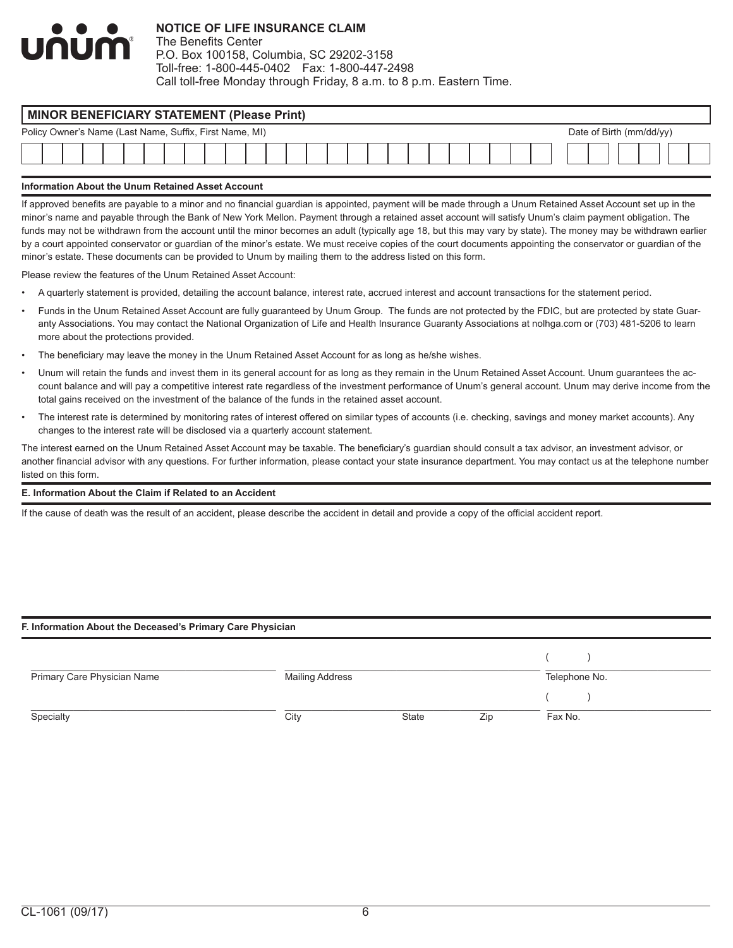# num

# **NOTICE OF LIFE INSURANCE CLAIM**

The Benefits Center P.O. Box 100158, Columbia, SC 29202-3158 Toll-free: 1-800-445-0402 Fax: 1-800-447-2498 Call toll-free Monday through Friday, 8 a.m. to 8 p.m. Eastern Time.

| <b>MINOR BENEFICIARY STATEMENT (Please Print)</b>                                   |  |  |  |  |  |  |  |  |  |  |  |  |  |  |  |  |  |  |  |  |  |  |
|-------------------------------------------------------------------------------------|--|--|--|--|--|--|--|--|--|--|--|--|--|--|--|--|--|--|--|--|--|--|
| Policy Owner's Name (Last Name, Suffix, First Name, MI)<br>Date of Birth (mm/dd/yy) |  |  |  |  |  |  |  |  |  |  |  |  |  |  |  |  |  |  |  |  |  |  |
|                                                                                     |  |  |  |  |  |  |  |  |  |  |  |  |  |  |  |  |  |  |  |  |  |  |
|                                                                                     |  |  |  |  |  |  |  |  |  |  |  |  |  |  |  |  |  |  |  |  |  |  |

#### **Information About the Unum Retained Asset Account**

If approved benefits are payable to a minor and no financial guardian is appointed, payment will be made through a Unum Retained Asset Account set up in the minor's name and payable through the Bank of New York Mellon. Payment through a retained asset account will satisfy Unum's claim payment obligation. The funds may not be withdrawn from the account until the minor becomes an adult (typically age 18, but this may vary by state). The money may be withdrawn earlier by a court appointed conservator or guardian of the minor's estate. We must receive copies of the court documents appointing the conservator or guardian of the minor's estate. These documents can be provided to Unum by mailing them to the address listed on this form.

Please review the features of the Unum Retained Asset Account:

- A quarterly statement is provided, detailing the account balance, interest rate, accrued interest and account transactions for the statement period.
- Funds in the Unum Retained Asset Account are fully guaranteed by Unum Group. The funds are not protected by the FDIC, but are protected by state Guaranty Associations. You may contact the National Organization of Life and Health Insurance Guaranty Associations at nolhga.com or (703) 481-5206 to learn more about the protections provided.
- The beneficiary may leave the money in the Unum Retained Asset Account for as long as he/she wishes.
- Unum will retain the funds and invest them in its general account for as long as they remain in the Unum Retained Asset Account. Unum guarantees the account balance and will pay a competitive interest rate regardless of the investment performance of Unum's general account. Unum may derive income from the total gains received on the investment of the balance of the funds in the retained asset account.
- The interest rate is determined by monitoring rates of interest offered on similar types of accounts (i.e. checking, savings and money market accounts). Any changes to the interest rate will be disclosed via a quarterly account statement.

The interest earned on the Unum Retained Asset Account may be taxable. The beneficiary's guardian should consult a tax advisor, an investment advisor, or another financial advisor with any questions. For further information, please contact your state insurance department. You may contact us at the telephone number listed on this form.

#### **E. Information About the Claim if Related to an Accident**

If the cause of death was the result of an accident, please describe the accident in detail and provide a copy of the official accident report.

#### **F. Information About the Deceased's Primary Care Physician**

| Primary Care Physician Name | Mailing Address |       |     | Telephone No. |
|-----------------------------|-----------------|-------|-----|---------------|
|                             |                 |       |     |               |
| Specialty                   | City            | State | Zip | Fax No.       |